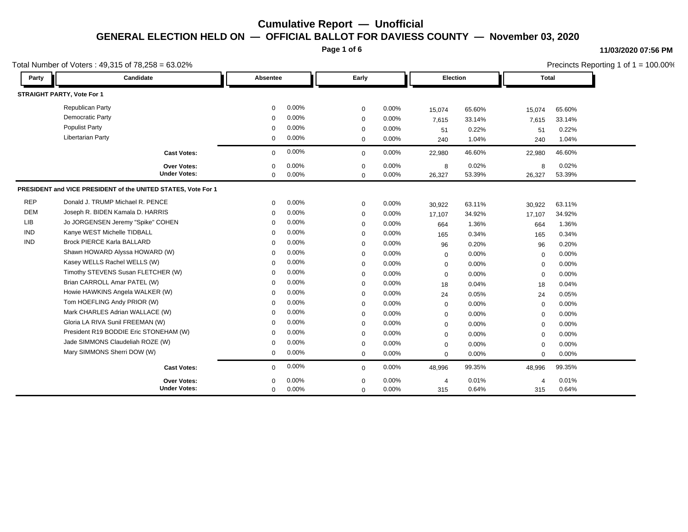**Page 1 of 6**

### **11/03/2020 07:56 PM**

|            | Total Number of Voters: 49,315 of 78,258 = 63.02%             |              |          |              |          |                |        |              | Precincts Reporting 1 of 1 = 100.00% |  |
|------------|---------------------------------------------------------------|--------------|----------|--------------|----------|----------------|--------|--------------|--------------------------------------|--|
| Party      | Candidate                                                     | Absentee     |          | Early        |          | Election       |        | <b>Total</b> |                                      |  |
|            | <b>STRAIGHT PARTY, Vote For 1</b>                             |              |          |              |          |                |        |              |                                      |  |
|            | <b>Republican Party</b>                                       | $\mathbf 0$  | $0.00\%$ | $\mathbf 0$  | 0.00%    | 15,074         | 65.60% | 15,074       | 65.60%                               |  |
|            | <b>Democratic Party</b>                                       | $\Omega$     | 0.00%    | $\Omega$     | 0.00%    | 7,615          | 33.14% | 7,615        | 33.14%                               |  |
|            | <b>Populist Party</b>                                         | $\Omega$     | 0.00%    | $\Omega$     | 0.00%    | 51             | 0.22%  | 51           | 0.22%                                |  |
|            | <b>Libertarian Party</b>                                      | $\mathbf{0}$ | 0.00%    | $\mathbf{0}$ | $0.00\%$ | 240            | 1.04%  | 240          | 1.04%                                |  |
|            | <b>Cast Votes:</b>                                            | $\mathbf{0}$ | 0.00%    | $\mathbf{0}$ | 0.00%    | 22,980         | 46.60% | 22,980       | 46.60%                               |  |
|            | Over Votes:                                                   | $\mathbf{0}$ | 0.00%    | $\Omega$     | 0.00%    | 8              | 0.02%  | 8            | 0.02%                                |  |
|            | <b>Under Votes:</b>                                           | $\mathbf 0$  | $0.00\%$ | $\Omega$     | 0.00%    | 26,327         | 53.39% | 26,327       | 53.39%                               |  |
|            | PRESIDENT and VICE PRESIDENT of the UNITED STATES, Vote For 1 |              |          |              |          |                |        |              |                                      |  |
| REP        | Donald J. TRUMP Michael R. PENCE                              | $\Omega$     | $0.00\%$ | $\mathbf 0$  | 0.00%    | 30,922         | 63.11% | 30,922       | 63.11%                               |  |
| <b>DEM</b> | Joseph R. BIDEN Kamala D. HARRIS                              | $\Omega$     | 0.00%    | $\Omega$     | 0.00%    | 17,107         | 34.92% | 17,107       | 34.92%                               |  |
| LIB        | Jo JORGENSEN Jeremy "Spike" COHEN                             | 0            | 0.00%    | $\Omega$     | 0.00%    | 664            | 1.36%  | 664          | 1.36%                                |  |
| <b>IND</b> | Kanye WEST Michelle TIDBALL                                   | $\Omega$     | 0.00%    | 0            | 0.00%    | 165            | 0.34%  | 165          | 0.34%                                |  |
| IND        | <b>Brock PIERCE Karla BALLARD</b>                             | $\Omega$     | 0.00%    | 0            | 0.00%    | 96             | 0.20%  | 96           | 0.20%                                |  |
|            | Shawn HOWARD Alyssa HOWARD (W)                                | $\Omega$     | 0.00%    | 0            | 0.00%    | $\mathbf{0}$   | 0.00%  | $\Omega$     | 0.00%                                |  |
|            | Kasey WELLS Rachel WELLS (W)                                  | $\Omega$     | 0.00%    | $\Omega$     | 0.00%    | $\mathbf{0}$   | 0.00%  | $\Omega$     | 0.00%                                |  |
|            | Timothy STEVENS Susan FLETCHER (W)                            | 0            | 0.00%    | $\Omega$     | 0.00%    | $\mathbf{0}$   | 0.00%  | $\Omega$     | 0.00%                                |  |
|            | Brian CARROLL Amar PATEL (W)                                  | $\Omega$     | $0.00\%$ | 0            | 0.00%    | 18             | 0.04%  | 18           | 0.04%                                |  |
|            | Howie HAWKINS Angela WALKER (W)                               | $\Omega$     | 0.00%    | 0            | 0.00%    | 24             | 0.05%  | 24           | 0.05%                                |  |
|            | Tom HOEFLING Andy PRIOR (W)                                   | $\Omega$     | 0.00%    | 0            | 0.00%    | $\Omega$       | 0.00%  | $\Omega$     | 0.00%                                |  |
|            | Mark CHARLES Adrian WALLACE (W)                               | 0            | 0.00%    | $\Omega$     | 0.00%    | $\mathbf 0$    | 0.00%  | ∩            | 0.00%                                |  |
|            | Gloria LA RIVA Sunil FREEMAN (W)                              | $\Omega$     | 0.00%    | $\Omega$     | 0.00%    | $\mathbf{0}$   | 0.00%  | $\Omega$     | 0.00%                                |  |
|            | President R19 BODDIE Eric STONEHAM (W)                        | $\Omega$     | 0.00%    | 0            | 0.00%    | $\mathbf{0}$   | 0.00%  | O            | 0.00%                                |  |
|            | Jade SIMMONS Claudeliah ROZE (W)                              | $\Omega$     | 0.00%    | 0            | 0.00%    | $\mathbf{0}$   | 0.00%  | $\Omega$     | 0.00%                                |  |
|            | Mary SIMMONS Sherri DOW (W)                                   | $\mathbf{0}$ | 0.00%    | $\mathbf{0}$ | 0.00%    | $\mathbf 0$    | 0.00%  | $\Omega$     | 0.00%                                |  |
|            | <b>Cast Votes:</b>                                            | $\mathbf{0}$ | 0.00%    | $\mathbf{0}$ | 0.00%    | 48,996         | 99.35% | 48,996       | 99.35%                               |  |
|            | Over Votes:                                                   | 0            | 0.00%    | 0            | 0.00%    | $\overline{4}$ | 0.01%  |              | 0.01%                                |  |
|            | <b>Under Votes:</b>                                           | $\mathbf{0}$ | 0.00%    | $\Omega$     | 0.00%    | 315            | 0.64%  | 315          | 0.64%                                |  |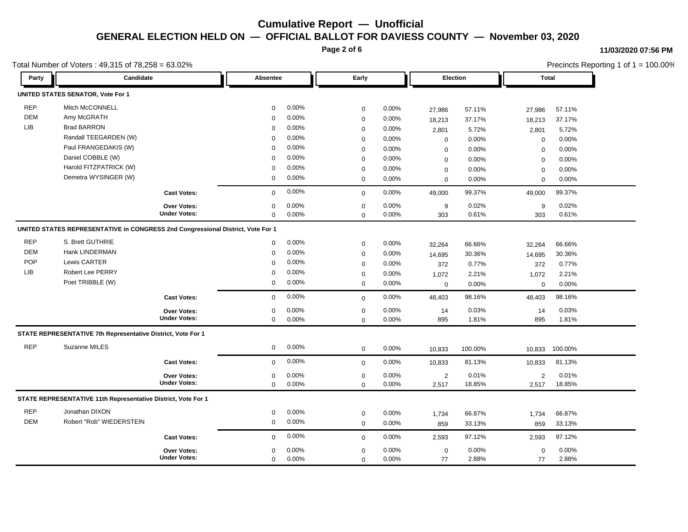**Page 2 of 6**

#### **11/03/2020 07:56 PM**

|             | Total Number of Voters: 49,315 of 78,258 = 63.02%                               |                     |             |          |                  |          |                |          |                | Precincts Reporting 1 of 1 = 100.00% |  |
|-------------|---------------------------------------------------------------------------------|---------------------|-------------|----------|------------------|----------|----------------|----------|----------------|--------------------------------------|--|
| Party       | Candidate                                                                       |                     | Absentee    |          | Early            |          |                | Election |                | Total                                |  |
|             | <b>UNITED STATES SENATOR, Vote For 1</b>                                        |                     |             |          |                  |          |                |          |                |                                      |  |
| <b>REP</b>  | Mitch McCONNELL                                                                 |                     | 0           | $0.00\%$ | $\mathbf 0$      | 0.00%    | 27,986         | 57.11%   | 27,986         | 57.11%                               |  |
| <b>DEM</b>  | Amy McGRATH                                                                     |                     | $\Omega$    | 0.00%    | $\mathbf 0$      | 0.00%    | 18,213         | 37.17%   | 18,213         | 37.17%                               |  |
| ${\sf LIB}$ | <b>Brad BARRON</b>                                                              |                     | 0           | 0.00%    | $\mathbf 0$      | 0.00%    | 2,801          | 5.72%    | 2,801          | 5.72%                                |  |
|             | Randall TEEGARDEN (W)                                                           |                     | $\mathbf 0$ | 0.00%    | $\mathbf 0$      | 0.00%    | $\mathbf 0$    | 0.00%    | $\mathbf 0$    | 0.00%                                |  |
|             | Paul FRANGEDAKIS (W)                                                            |                     | $\mathbf 0$ | 0.00%    | $\mathbf 0$      | 0.00%    | $\mathbf 0$    | 0.00%    | $\mathbf 0$    | 0.00%                                |  |
|             | Daniel COBBLE (W)                                                               |                     | $\mathbf 0$ | 0.00%    | $\mathbf 0$      | 0.00%    | $\mathbf 0$    | 0.00%    | $\mathbf 0$    | 0.00%                                |  |
|             | Harold FITZPATRICK (W)                                                          |                     | $\Omega$    | 0.00%    | $\mathbf 0$      | 0.00%    | $\mathbf 0$    | 0.00%    | $\mathbf 0$    | 0.00%                                |  |
|             | Demetra WYSINGER (W)                                                            |                     | 0           | 0.00%    | $\mathbf 0$      | 0.00%    | $\mathbf 0$    | 0.00%    | $\mathbf 0$    | 0.00%                                |  |
|             |                                                                                 | <b>Cast Votes:</b>  | 0           | 0.00%    | $\mathbf 0$      | 0.00%    | 49,000         | 99.37%   | 49,000         | 99.37%                               |  |
|             |                                                                                 | Over Votes:         | $\mathbf 0$ | 0.00%    | $\mathbf 0$      | 0.00%    | 9              | 0.02%    | $9\,$          | 0.02%                                |  |
|             |                                                                                 | <b>Under Votes:</b> | $\mathbf 0$ | 0.00%    | $\mathbf 0$      | 0.00%    | 303            | 0.61%    | 303            | 0.61%                                |  |
|             | UNITED STATES REPRESENTATIVE in CONGRESS 2nd Congressional District, Vote For 1 |                     |             |          |                  |          |                |          |                |                                      |  |
| <b>REP</b>  | S. Brett GUTHRIE                                                                |                     | $\mathbf 0$ | $0.00\%$ | $\mathbf 0$      | 0.00%    | 32,264         | 66.66%   | 32,264         | 66.66%                               |  |
| <b>DEM</b>  | Hank LINDERMAN                                                                  |                     | 0           | 0.00%    | $\mathbf 0$      | 0.00%    | 14,695         | 30.36%   | 14,695         | 30.36%                               |  |
| POP         | Lewis CARTER                                                                    |                     | $\mathbf 0$ | 0.00%    | $\mathbf 0$      | 0.00%    | 372            | 0.77%    | 372            | 0.77%                                |  |
| <b>LIB</b>  | Robert Lee PERRY                                                                |                     | 0           | 0.00%    | $\mathbf 0$      | 0.00%    | 1,072          | 2.21%    | 1,072          | 2.21%                                |  |
|             | Poet TRIBBLE (W)                                                                |                     | 0           | $0.00\%$ | $\mathbf 0$      | $0.00\%$ | $\mathbf 0$    | 0.00%    | $\mathbf 0$    | 0.00%                                |  |
|             |                                                                                 | <b>Cast Votes:</b>  | $\mathbf 0$ | 0.00%    | $\mathbf 0$      | 0.00%    | 48,403         | 98.16%   | 48,403         | 98.16%                               |  |
|             |                                                                                 | Over Votes:         | 0           | 0.00%    | $\mathbf 0$      | 0.00%    | 14             | 0.03%    | 14             | 0.03%                                |  |
|             |                                                                                 | <b>Under Votes:</b> | $\mathbf 0$ | $0.00\%$ | $\mathbf 0$      | 0.00%    | 895            | 1.81%    | 895            | 1.81%                                |  |
|             | STATE REPRESENTATIVE 7th Representative District, Vote For 1                    |                     |             |          |                  |          |                |          |                |                                      |  |
| <b>REP</b>  | Suzanne MILES                                                                   |                     | 0           | 0.00%    | $\mathbf 0$      | 0.00%    | 10,833         | 100.00%  | 10,833         | 100.00%                              |  |
|             |                                                                                 | <b>Cast Votes:</b>  | 0           | 0.00%    | $\mathbf 0$      | 0.00%    | 10,833         | 81.13%   | 10,833         | 81.13%                               |  |
|             |                                                                                 | <b>Over Votes:</b>  | 0           | 0.00%    | $\boldsymbol{0}$ | 0.00%    | $\overline{2}$ | 0.01%    | $\overline{2}$ | 0.01%                                |  |
|             |                                                                                 | <b>Under Votes:</b> | $\mathbf 0$ | 0.00%    | $\mathbf 0$      | 0.00%    | 2,517          | 18.85%   | 2,517          | 18.85%                               |  |
|             | STATE REPRESENTATIVE 11th Representative District, Vote For 1                   |                     |             |          |                  |          |                |          |                |                                      |  |
| <b>REP</b>  | Jonathan DIXON                                                                  |                     | 0           | 0.00%    | $\boldsymbol{0}$ | 0.00%    | 1,734          | 66.87%   | 1,734          | 66.87%                               |  |
| DEM         | Robert "Rob" WIEDERSTEIN                                                        |                     | 0           | $0.00\%$ | $\mathbf 0$      | 0.00%    | 859            | 33.13%   | 859            | 33.13%                               |  |
|             |                                                                                 | <b>Cast Votes:</b>  | $\mathbf 0$ | $0.00\%$ | $\mathbf 0$      | 0.00%    | 2,593          | 97.12%   | 2,593          | 97.12%                               |  |
|             |                                                                                 | Over Votes:         | 0           | 0.00%    | $\mathbf 0$      | 0.00%    | 0              | 0.00%    | $\mathbf 0$    | 0.00%                                |  |
|             |                                                                                 | <b>Under Votes:</b> | 0           | 0.00%    | $\mathbf 0$      | 0.00%    | 77             | 2.88%    | 77             | 2.88%                                |  |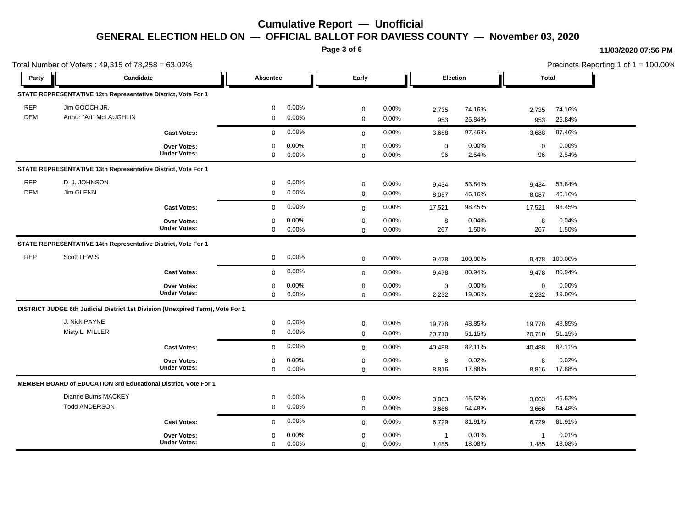**Page 3 of 6**

#### **11/03/2020 07:56 PM**

Total Number of Voters : 49,315 of 78,258 = 63.02% Precincts Reporting 1 of 1 = 100.00% **Party Candidate Absentee Early Election Total STATE REPRESENTATIVE 12th Representative District, Vote For 1** REP Jim GOOCH JR. 0 0.00% 0 0.00% 2,735 74.16% 2,735 74.16% DEM Arthur "Art" McLAUGHLIN 0 0.00% 0 0.00% 953 25.84% 953 25.84% **Cast Votes:** 0 0.00% 0 0.00% 3,688 97.46% 3,688 97.46% 96 2.54% 2.54% 0 0.00% 96 2.54% 0 0.00% **Under Votes: Over Votes:** 0.00% 0.00% 0  $0.00\%$  0.00% 0.00% 0.00% 0.00% 0.00% 0 0.00% 0 0.00% 0 0.00% **STATE REPRESENTATIVE 13th Representative District, Vote For 1** REP D. J. JOHNSON 0 0.00% 0 0.00% 9,434 53.84% 9,434 53.84% DEM Jim GLENN 0 0.00% 0 0.00% 8,087 46.16% 8,087 46.16% **Cast Votes:** 0 0.00% 0 0.00% 17,521 98.45% 17,521 98.45% 267 1.50% 1.50% 8 0.04% 267 0.00% 8 0.00% **Under Votes: Over Votes:** 0.00% 0  $0.00\%$  0.00% 8 0.04% 8 0.04% 0 0.00% 0 0.00% 0 0.00% **STATE REPRESENTATIVE 14th Representative District, Vote For 1** REP Scott LEWIS 0 0.00% 0 0.00% 9,478 100.00% 9,478 100.00% **Cast Votes:** 0 0.00% 0 0.00% 9,478 80.94% 9,478 80.94% 2,232 19.06% 19.06% 0 0.00% 2,232 0.00% 0 0.00% **Under Votes: Over Votes:** 0.00% 0  $0.00\%$  0.00% 0.00% 0.00% 0.00% 0.00% 0 0.00% 0 0.00% 0 0.00% **DISTRICT JUDGE 6th Judicial District 1st Division (Unexpired Term), Vote For 1** J. Nick PAYNE 0 0.00% 0 0.00% 19,778 48.85% 19,778 48.85% Misty L. MILLER 0 0.00% 0 0.00% 20,710 51.15% 20,710 51.15% **Cast Votes:** 0 0.00% 0 0.00% 40,488 82.11% 40,488 82.11% 8,816 17.88% 17.88% 8 0.02% 8,816 0.00% 8 0.00% **Under Votes: Over Votes:** 0.00% 0  $0.00\%$  0.00% 8 0.02% 8 0.02% 8 0.02% 0 0.00%  $0\qquad 0.00\%$ 0 0.00% **MEMBER BOARD of EDUCATION 3rd Educational District, Vote For 1** Dianne Burns MACKEY 0 0.00% 0 0.00% 3,063 45.52% 3,063 45.52% Todd ANDERSON 0 0.00% 0 0.00% 3,666 54.48% 3,666 54.48% **Cast Votes:** 0 0.00% 0 0.00% 6,729 81.91% 6,729 81.91% 1,485 18.08% 18.08% 1 0.01% 1,485 0.00% 1 0.00% **Under Votes: Over Votes:** 0.00%  $0.00\%$  0.00% 1 0.01% 1 0.01% 1 0.01% 0 0.00% 0 0.00%  $0\qquad 0.00\%$ 0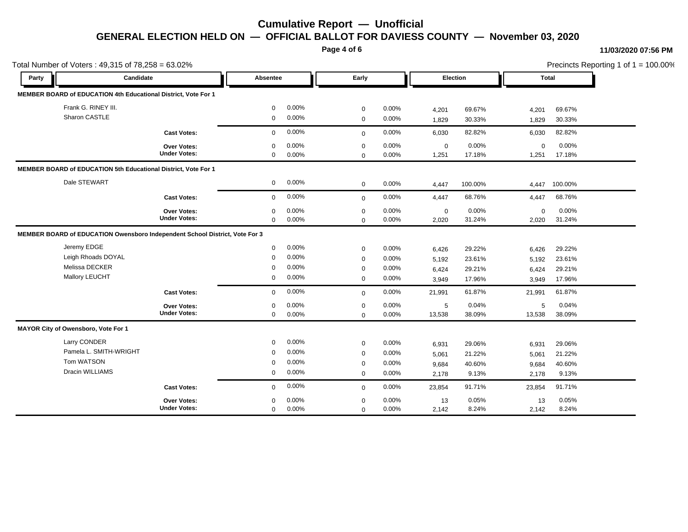**Page 4 of 6**

#### **11/03/2020 07:56 PM**

| Total Number of Voters: 49,315 of 78,258 = 63.02% |                                                                             | Absentee    |          |             |          |                 | Precincts Reporting 1 of 1 = 100.00% |             |         |  |
|---------------------------------------------------|-----------------------------------------------------------------------------|-------------|----------|-------------|----------|-----------------|--------------------------------------|-------------|---------|--|
| Party                                             | Candidate                                                                   |             |          | Early       |          | <b>Election</b> |                                      |             | Total   |  |
|                                                   | MEMBER BOARD of EDUCATION 4th Educational District, Vote For 1              |             |          |             |          |                 |                                      |             |         |  |
| Frank G. RINEY III.                               |                                                                             | $\mathbf 0$ | 0.00%    | $\mathbf 0$ | 0.00%    | 4,201           | 69.67%                               | 4,201       | 69.67%  |  |
| Sharon CASTLE                                     |                                                                             | $\mathbf 0$ | 0.00%    | $\mathbf 0$ | 0.00%    | 1,829           | 30.33%                               | 1,829       | 30.33%  |  |
|                                                   | <b>Cast Votes:</b>                                                          | 0           | 0.00%    | $\mathbf 0$ | 0.00%    | 6,030           | 82.82%                               | 6,030       | 82.82%  |  |
|                                                   | Over Votes:                                                                 | $\mathbf 0$ | 0.00%    | $\mathbf 0$ | 0.00%    | $\mathbf 0$     | 0.00%                                | $\mathbf 0$ | 0.00%   |  |
|                                                   | <b>Under Votes:</b>                                                         | $\mathbf 0$ | $0.00\%$ | $\Omega$    | 0.00%    | 1,251           | 17.18%                               | 1,251       | 17.18%  |  |
|                                                   | MEMBER BOARD of EDUCATION 5th Educational District, Vote For 1              |             |          |             |          |                 |                                      |             |         |  |
| Dale STEWART                                      |                                                                             | 0           | 0.00%    | $\mathbf 0$ | 0.00%    | 4,447           | 100.00%                              | 4,447       | 100.00% |  |
|                                                   | <b>Cast Votes:</b>                                                          | $\mathbf 0$ | 0.00%    | $\mathbf 0$ | 0.00%    | 4,447           | 68.76%                               | 4,447       | 68.76%  |  |
|                                                   | Over Votes:                                                                 | $\Omega$    | 0.00%    | $\mathbf 0$ | 0.00%    | $\mathbf 0$     | 0.00%                                | $\Omega$    | 0.00%   |  |
|                                                   | <b>Under Votes:</b>                                                         | $\mathbf 0$ | 0.00%    | $\mathbf 0$ | 0.00%    | 2,020           | 31.24%                               | 2,020       | 31.24%  |  |
|                                                   | MEMBER BOARD of EDUCATION Owensboro Independent School District, Vote For 3 |             |          |             |          |                 |                                      |             |         |  |
| Jeremy EDGE                                       |                                                                             | 0           | 0.00%    | $\mathbf 0$ | 0.00%    | 6,426           | 29.22%                               | 6,426       | 29.22%  |  |
| Leigh Rhoads DOYAL                                |                                                                             | $\mathbf 0$ | 0.00%    | $\mathbf 0$ | 0.00%    | 5,192           | 23.61%                               | 5,192       | 23.61%  |  |
| Melissa DECKER                                    |                                                                             | $\Omega$    | 0.00%    | $\mathbf 0$ | 0.00%    | 6,424           | 29.21%                               | 6,424       | 29.21%  |  |
| Mallory LEUCHT                                    |                                                                             | $\mathbf 0$ | $0.00\%$ | $\mathbf 0$ | $0.00\%$ | 3,949           | 17.96%                               | 3,949       | 17.96%  |  |
|                                                   | <b>Cast Votes:</b>                                                          | $\mathbf 0$ | 0.00%    | $\Omega$    | 0.00%    | 21,991          | 61.87%                               | 21,991      | 61.87%  |  |
|                                                   | Over Votes:                                                                 | $\mathbf 0$ | 0.00%    | $\mathbf 0$ | 0.00%    | 5               | 0.04%                                | 5           | 0.04%   |  |
|                                                   | <b>Under Votes:</b>                                                         | $\mathbf 0$ | 0.00%    | $\Omega$    | $0.00\%$ | 13,538          | 38.09%                               | 13,538      | 38.09%  |  |
| MAYOR City of Owensboro, Vote For 1               |                                                                             |             |          |             |          |                 |                                      |             |         |  |
| Larry CONDER                                      |                                                                             | $\mathbf 0$ | 0.00%    | $\mathbf 0$ | 0.00%    | 6,931           | 29.06%                               | 6,931       | 29.06%  |  |
| Pamela L. SMITH-WRIGHT                            |                                                                             | $\mathbf 0$ | 0.00%    | $\mathbf 0$ | 0.00%    | 5,061           | 21.22%                               | 5,061       | 21.22%  |  |
| Tom WATSON                                        |                                                                             | $\mathbf 0$ | 0.00%    | $\mathbf 0$ | $0.00\%$ | 9,684           | 40.60%                               | 9,684       | 40.60%  |  |
| Dracin WILLIAMS                                   |                                                                             | 0           | 0.00%    | $\mathbf 0$ | 0.00%    | 2.178           | 9.13%                                | 2,178       | 9.13%   |  |
|                                                   | <b>Cast Votes:</b>                                                          | $\mathbf 0$ | $0.00\%$ | $\mathbf 0$ | 0.00%    | 23,854          | 91.71%                               | 23,854      | 91.71%  |  |
|                                                   | <b>Over Votes:</b>                                                          | $\Omega$    | 0.00%    | 0           | 0.00%    | 13              | 0.05%                                | 13          | 0.05%   |  |
|                                                   | <b>Under Votes:</b>                                                         | $\mathbf 0$ | 0.00%    | $\mathbf 0$ | 0.00%    | 2,142           | 8.24%                                | 2,142       | 8.24%   |  |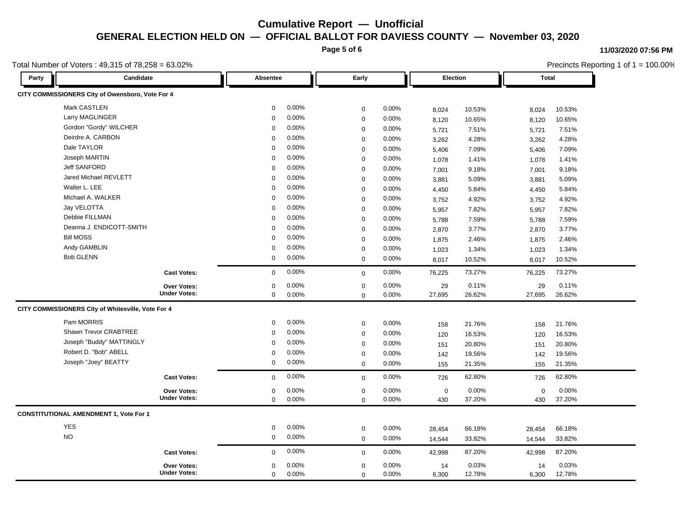**Page 5 of 6**

#### **11/03/2020 07:56 PM**

|       | Total Number of Voters: 49,315 of 78,258 = 63.02%  |                     |             |          |             |       |                 |        | Precincts Reporting 1 of 1 = 100.00% |        |  |
|-------|----------------------------------------------------|---------------------|-------------|----------|-------------|-------|-----------------|--------|--------------------------------------|--------|--|
| Party | Candidate                                          |                     | Absentee    |          | Early       |       | <b>Election</b> |        | Total                                |        |  |
|       | CITY COMMISSIONERS City of Owensboro, Vote For 4   |                     |             |          |             |       |                 |        |                                      |        |  |
|       | Mark CASTLEN                                       |                     | $\mathbf 0$ | 0.00%    | $\mathbf 0$ | 0.00% | 8,024           | 10.53% | 8,024                                | 10.53% |  |
|       | Larry MAGLINGER                                    |                     | $\mathbf 0$ | 0.00%    | $\mathbf 0$ | 0.00% | 8,120           | 10.65% | 8,120                                | 10.65% |  |
|       | Gordon "Gordy" WILCHER                             |                     | 0           | 0.00%    | $\mathbf 0$ | 0.00% | 5,721           | 7.51%  | 5,721                                | 7.51%  |  |
|       | Deirdre A. CARBON                                  |                     | $\Omega$    | 0.00%    | $\mathbf 0$ | 0.00% | 3,262           | 4.28%  | 3,262                                | 4.28%  |  |
|       | Dale TAYLOR                                        |                     | $\Omega$    | 0.00%    | $\mathbf 0$ | 0.00% | 5,406           | 7.09%  | 5,406                                | 7.09%  |  |
|       | Joseph MARTIN                                      |                     | $\Omega$    | 0.00%    | $\Omega$    | 0.00% | 1,078           | 1.41%  | 1,078                                | 1.41%  |  |
|       | <b>Jeff SANFORD</b>                                |                     | $\Omega$    | 0.00%    | $\mathbf 0$ | 0.00% | 7,001           | 9.18%  | 7,001                                | 9.18%  |  |
|       | Jared Michael REVLETT                              |                     | $\Omega$    | 0.00%    | $\mathbf 0$ | 0.00% | 3,881           | 5.09%  | 3,881                                | 5.09%  |  |
|       | Walter L. LEE                                      |                     | $\Omega$    | 0.00%    | $\mathbf 0$ | 0.00% | 4,450           | 5.84%  | 4,450                                | 5.84%  |  |
|       | Michael A. WALKER                                  |                     | $\Omega$    | 0.00%    | $\Omega$    | 0.00% | 3,752           | 4.92%  | 3,752                                | 4.92%  |  |
|       | Jay VELOTTA                                        |                     | $\Omega$    | $0.00\%$ | $\Omega$    | 0.00% | 5,957           | 7.82%  | 5,957                                | 7.82%  |  |
|       | Debbie FILLMAN                                     |                     | $\Omega$    | 0.00%    | $\mathbf 0$ | 0.00% | 5,788           | 7.59%  | 5,788                                | 7.59%  |  |
|       | Deanna J. ENDICOTT-SMITH                           |                     | $\Omega$    | 0.00%    | $\mathbf 0$ | 0.00% | 2,870           | 3.77%  | 2,870                                | 3.77%  |  |
|       | <b>Bill MOSS</b>                                   |                     | $\Omega$    | 0.00%    | $\mathbf 0$ | 0.00% | 1,875           | 2.46%  | 1,875                                | 2.46%  |  |
|       | Andy GAMBLIN                                       |                     | $\Omega$    | 0.00%    | $\mathbf 0$ | 0.00% | 1,023           | 1.34%  | 1,023                                | 1.34%  |  |
|       | <b>Bob GLENN</b>                                   |                     | 0           | 0.00%    | $\mathbf 0$ | 0.00% | 8,017           | 10.52% | 8,017                                | 10.52% |  |
|       |                                                    | <b>Cast Votes:</b>  | $\mathbf 0$ | 0.00%    | $\mathbf 0$ | 0.00% | 76,225          | 73.27% | 76,225                               | 73.27% |  |
|       |                                                    | <b>Over Votes:</b>  | 0           | 0.00%    | $\mathbf 0$ | 0.00% | 29              | 0.11%  | 29                                   | 0.11%  |  |
|       |                                                    | <b>Under Votes:</b> | 0           | 0.00%    | $\mathbf 0$ | 0.00% | 27,695          | 26.62% | 27,695                               | 26.62% |  |
|       | CITY COMMISSIONERS City of Whitesville, Vote For 4 |                     |             |          |             |       |                 |        |                                      |        |  |
|       | Pam MORRIS                                         |                     | $\mathbf 0$ | 0.00%    | 0           | 0.00% | 158             | 21.76% | 158                                  | 21.76% |  |
|       | Shawn Trevor CRABTREE                              |                     | $\Omega$    | 0.00%    | $\mathbf 0$ | 0.00% | 120             | 16.53% | 120                                  | 16.53% |  |
|       | Joseph "Buddy" MATTINGLY                           |                     | $\Omega$    | 0.00%    | $\mathbf 0$ | 0.00% | 151             | 20.80% | 151                                  | 20.80% |  |
|       | Robert D. "Bob" ABELL                              |                     | $\Omega$    | 0.00%    | $\mathbf 0$ | 0.00% | 142             | 19.56% | 142                                  | 19.56% |  |
|       | Joseph "Joey" BEATTY                               |                     | 0           | 0.00%    | $\mathbf 0$ | 0.00% | 155             | 21.35% | 155                                  | 21.35% |  |
|       |                                                    | <b>Cast Votes:</b>  | $\mathbf 0$ | 0.00%    | $\mathbf 0$ | 0.00% | 726             | 62.80% | 726                                  | 62.80% |  |
|       |                                                    | <b>Over Votes:</b>  | 0           | 0.00%    | $\mathbf 0$ | 0.00% | $\mathsf 0$     | 0.00%  | $\mathbf 0$                          | 0.00%  |  |
|       |                                                    | <b>Under Votes:</b> | $\mathbf 0$ | 0.00%    | $\mathbf 0$ | 0.00% | 430             | 37.20% | 430                                  | 37.20% |  |
|       | <b>CONSTITUTIONAL AMENDMENT 1, Vote For 1</b>      |                     |             |          |             |       |                 |        |                                      |        |  |
|       | <b>YES</b>                                         |                     | 0           | 0.00%    | $\mathbf 0$ | 0.00% | 28,454          | 66.18% | 28,454                               | 66.18% |  |
|       | <b>NO</b>                                          |                     | $\mathbf 0$ | 0.00%    | $\mathbf 0$ | 0.00% | 14,544          | 33.82% | 14,544                               | 33.82% |  |
|       |                                                    | <b>Cast Votes:</b>  | 0           | 0.00%    | $\mathbf 0$ | 0.00% | 42,998          | 87.20% | 42,998                               | 87.20% |  |
|       |                                                    | <b>Over Votes:</b>  | $\mathbf 0$ | 0.00%    | $\mathbf 0$ | 0.00% | 14              | 0.03%  | 14                                   | 0.03%  |  |
|       |                                                    | <b>Under Votes:</b> | $\mathbf 0$ | 0.00%    | $\Omega$    | 0.00% | 6,300           | 12.78% | 6,300                                | 12.78% |  |